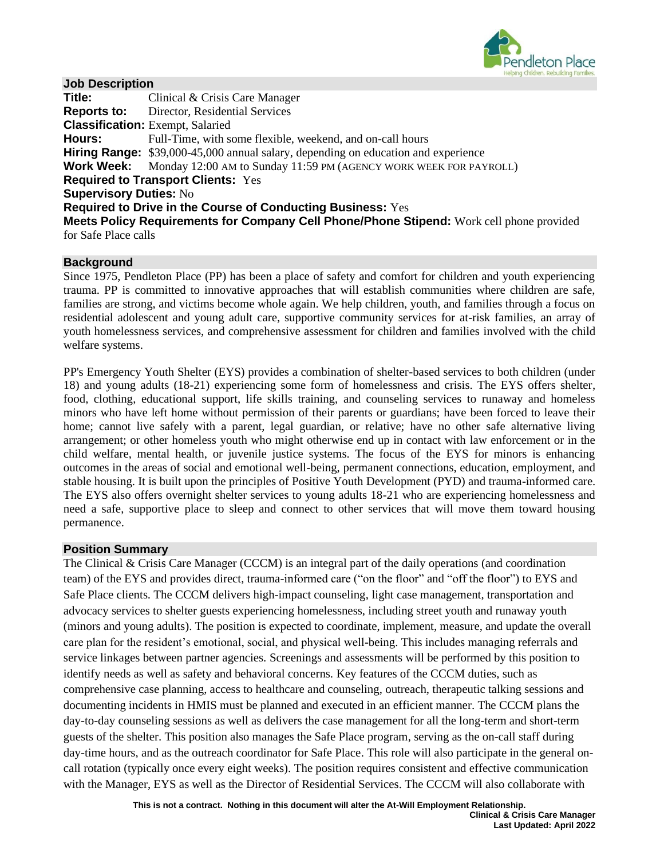

### **Job Description**

| Title:                        | Clinical & Crisis Care Manager                                                                  |
|-------------------------------|-------------------------------------------------------------------------------------------------|
|                               | <b>Reports to:</b> Director, Residential Services                                               |
|                               | <b>Classification:</b> Exempt, Salaried                                                         |
| Hours:                        | Full-Time, with some flexible, weekend, and on-call hours                                       |
|                               | <b>Hiring Range:</b> \$39,000-45,000 annual salary, depending on education and experience       |
|                               | <b>Work Week:</b> Monday 12:00 AM to Sunday 11:59 PM (AGENCY WORK WEEK FOR PAYROLL)             |
|                               | <b>Required to Transport Clients: Yes</b>                                                       |
| <b>Supervisory Duties: No</b> |                                                                                                 |
|                               | <b>Required to Drive in the Course of Conducting Business: Yes</b>                              |
|                               | <b>Meets Policy Requirements for Company Cell Phone/Phone Stipend:</b> Work cell phone provided |
| for Safe Place calls          |                                                                                                 |
|                               |                                                                                                 |

### **Background**

Since 1975, Pendleton Place (PP) has been a place of safety and comfort for children and youth experiencing trauma. PP is committed to innovative approaches that will establish communities where children are safe, families are strong, and victims become whole again. We help children, youth, and families through a focus on residential adolescent and young adult care, supportive community services for at-risk families, an array of youth homelessness services, and comprehensive assessment for children and families involved with the child welfare systems.

PP's Emergency Youth Shelter (EYS) provides a combination of shelter-based services to both children (under 18) and young adults (18-21) experiencing some form of homelessness and crisis. The EYS offers shelter, food, clothing, educational support, life skills training, and counseling services to runaway and homeless minors who have left home without permission of their parents or guardians; have been forced to leave their home; cannot live safely with a parent, legal guardian, or relative; have no other safe alternative living arrangement; or other homeless youth who might otherwise end up in contact with law enforcement or in the child welfare, mental health, or juvenile justice systems. The focus of the EYS for minors is enhancing outcomes in the areas of social and emotional well-being, permanent connections, education, employment, and stable housing. It is built upon the principles of Positive Youth Development (PYD) and trauma-informed care. The EYS also offers overnight shelter services to young adults 18-21 who are experiencing homelessness and need a safe, supportive place to sleep and connect to other services that will move them toward housing permanence.

### **Position Summary**

The Clinical & Crisis Care Manager (CCCM) is an integral part of the daily operations (and coordination team) of the EYS and provides direct, trauma-informed care ("on the floor" and "off the floor") to EYS and Safe Place clients. The CCCM delivers high-impact counseling, light case management, transportation and advocacy services to shelter guests experiencing homelessness, including street youth and runaway youth (minors and young adults). The position is expected to coordinate, implement, measure, and update the overall care plan for the resident's emotional, social, and physical well-being. This includes managing referrals and service linkages between partner agencies. Screenings and assessments will be performed by this position to identify needs as well as safety and behavioral concerns. Key features of the CCCM duties, such as comprehensive case planning, access to healthcare and counseling, outreach, therapeutic talking sessions and documenting incidents in HMIS must be planned and executed in an efficient manner. The CCCM plans the day-to-day counseling sessions as well as delivers the case management for all the long-term and short-term guests of the shelter. This position also manages the Safe Place program, serving as the on-call staff during day-time hours, and as the outreach coordinator for Safe Place. This role will also participate in the general oncall rotation (typically once every eight weeks). The position requires consistent and effective communication with the Manager, EYS as well as the Director of Residential Services. The CCCM will also collaborate with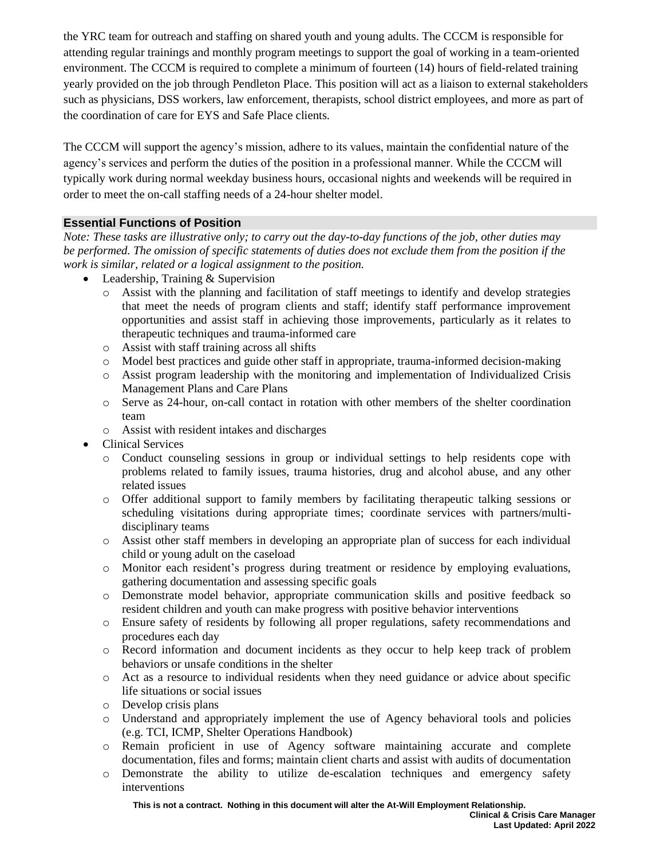the YRC team for outreach and staffing on shared youth and young adults. The CCCM is responsible for attending regular trainings and monthly program meetings to support the goal of working in a team-oriented environment. The CCCM is required to complete a minimum of fourteen (14) hours of field-related training yearly provided on the job through Pendleton Place. This position will act as a liaison to external stakeholders such as physicians, DSS workers, law enforcement, therapists, school district employees, and more as part of the coordination of care for EYS and Safe Place clients.

The CCCM will support the agency's mission, adhere to its values, maintain the confidential nature of the agency's services and perform the duties of the position in a professional manner. While the CCCM will typically work during normal weekday business hours, occasional nights and weekends will be required in order to meet the on-call staffing needs of a 24-hour shelter model.

## **Essential Functions of Position**

*Note: These tasks are illustrative only; to carry out the day-to-day functions of the job, other duties may be performed. The omission of specific statements of duties does not exclude them from the position if the work is similar, related or a logical assignment to the position.*

- Leadership, Training & Supervision
	- o Assist with the planning and facilitation of staff meetings to identify and develop strategies that meet the needs of program clients and staff; identify staff performance improvement opportunities and assist staff in achieving those improvements, particularly as it relates to therapeutic techniques and trauma-informed care
	- o Assist with staff training across all shifts
	- o Model best practices and guide other staff in appropriate, trauma-informed decision-making
	- o Assist program leadership with the monitoring and implementation of Individualized Crisis Management Plans and Care Plans
	- o Serve as 24-hour, on-call contact in rotation with other members of the shelter coordination team
	- o Assist with resident intakes and discharges
- Clinical Services
	- o Conduct counseling sessions in group or individual settings to help residents cope with problems related to family issues, trauma histories, drug and alcohol abuse, and any other related issues
	- o Offer additional support to family members by facilitating therapeutic talking sessions or scheduling visitations during appropriate times; coordinate services with partners/multidisciplinary teams
	- o Assist other staff members in developing an appropriate plan of success for each individual child or young adult on the caseload
	- o Monitor each resident's progress during treatment or residence by employing evaluations, gathering documentation and assessing specific goals
	- o Demonstrate model behavior, appropriate communication skills and positive feedback so resident children and youth can make progress with positive behavior interventions
	- o Ensure safety of residents by following all proper regulations, safety recommendations and procedures each day
	- o Record information and document incidents as they occur to help keep track of problem behaviors or unsafe conditions in the shelter
	- o Act as a resource to individual residents when they need guidance or advice about specific life situations or social issues
	- o Develop crisis plans
	- o Understand and appropriately implement the use of Agency behavioral tools and policies (e.g. TCI, ICMP, Shelter Operations Handbook)
	- o Remain proficient in use of Agency software maintaining accurate and complete documentation, files and forms; maintain client charts and assist with audits of documentation
	- o Demonstrate the ability to utilize de-escalation techniques and emergency safety interventions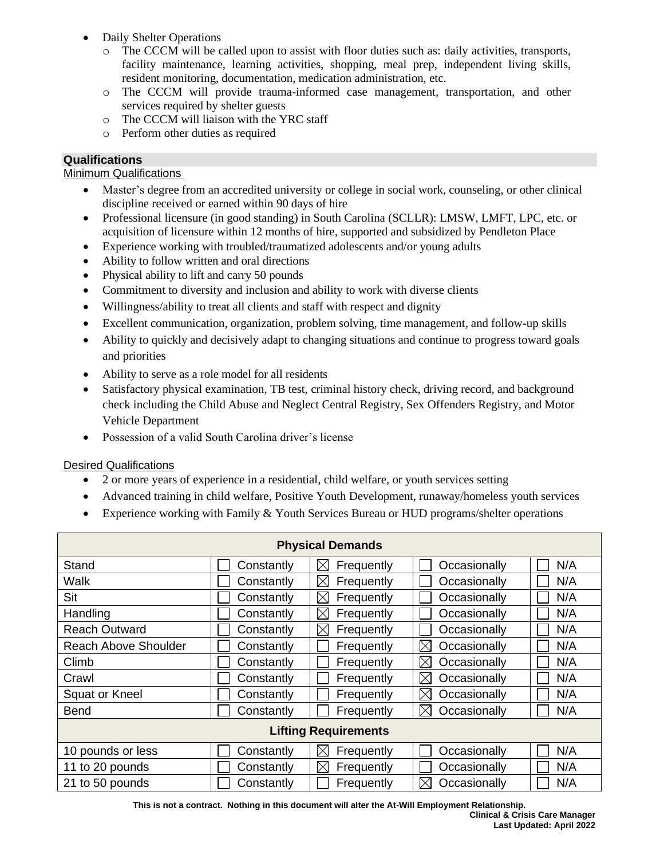- Daily Shelter Operations
	- o The CCCM will be called upon to assist with floor duties such as: daily activities, transports, facility maintenance, learning activities, shopping, meal prep, independent living skills, resident monitoring, documentation, medication administration, etc.
	- o The CCCM will provide trauma-informed case management, transportation, and other services required by shelter guests
	- o The CCCM will liaison with the YRC staff
	- o Perform other duties as required

### **Qualifications**

**Minimum Qualifications** 

- Master's degree from an accredited university or college in social work, counseling, or other clinical discipline received or earned within 90 days of hire
- Professional licensure (in good standing) in South Carolina (SCLLR): LMSW, LMFT, LPC, etc. or acquisition of licensure within 12 months of hire, supported and subsidized by Pendleton Place
- Experience working with troubled/traumatized adolescents and/or young adults
- Ability to follow written and oral directions
- Physical ability to lift and carry 50 pounds
- Commitment to diversity and inclusion and ability to work with diverse clients
- Willingness/ability to treat all clients and staff with respect and dignity
- Excellent communication, organization, problem solving, time management, and follow-up skills
- Ability to quickly and decisively adapt to changing situations and continue to progress toward goals and priorities
- Ability to serve as a role model for all residents
- Satisfactory physical examination, TB test, criminal history check, driving record, and background check including the Child Abuse and Neglect Central Registry, Sex Offenders Registry, and Motor Vehicle Department
- Possession of a valid South Carolina driver's license

### Desired Qualifications

- 2 or more years of experience in a residential, child welfare, or youth services setting
- Advanced training in child welfare, Positive Youth Development, runaway/homeless youth services
- Experience working with Family & Youth Services Bureau or HUD programs/shelter operations

| <b>Physical Demands</b>     |            |                           |                             |     |  |  |  |  |  |
|-----------------------------|------------|---------------------------|-----------------------------|-----|--|--|--|--|--|
| Stand                       | Constantly | Frequently<br>$\boxtimes$ | Occasionally                | N/A |  |  |  |  |  |
| Walk                        | Constantly | $\boxtimes$<br>Frequently | Occasionally                | N/A |  |  |  |  |  |
| Sit                         | Constantly | Frequently<br>$\boxtimes$ | Occasionally                | N/A |  |  |  |  |  |
| Handling                    | Constantly | $\boxtimes$<br>Frequently | Occasionally                | N/A |  |  |  |  |  |
| <b>Reach Outward</b>        | Constantly | $\boxtimes$<br>Frequently | Occasionally                | N/A |  |  |  |  |  |
| <b>Reach Above Shoulder</b> | Constantly | Frequently                | $\boxtimes$<br>Occasionally | N/A |  |  |  |  |  |
| Climb                       | Constantly | Frequently                | $\boxtimes$<br>Occasionally | N/A |  |  |  |  |  |
| Crawl                       | Constantly | Frequently                | $\boxtimes$<br>Occasionally | N/A |  |  |  |  |  |
| Squat or Kneel              | Constantly | Frequently                | $\boxtimes$<br>Occasionally | N/A |  |  |  |  |  |
| <b>Bend</b>                 | Constantly | Frequently                | Occasionally<br>$\bowtie$   | N/A |  |  |  |  |  |
| <b>Lifting Requirements</b> |            |                           |                             |     |  |  |  |  |  |
| 10 pounds or less           | Constantly | Frequently<br>$\boxtimes$ | Occasionally                | N/A |  |  |  |  |  |
| 11 to 20 pounds             | Constantly | $\boxtimes$<br>Frequently | Occasionally                | N/A |  |  |  |  |  |
| 21 to 50 pounds             | Constantly | Frequently                | ⋉<br>Occasionally           | N/A |  |  |  |  |  |

**This is not a contract. Nothing in this document will alter the At-Will Employment Relationship. Clinical & Crisis Care Manager Last Updated: April 2022**